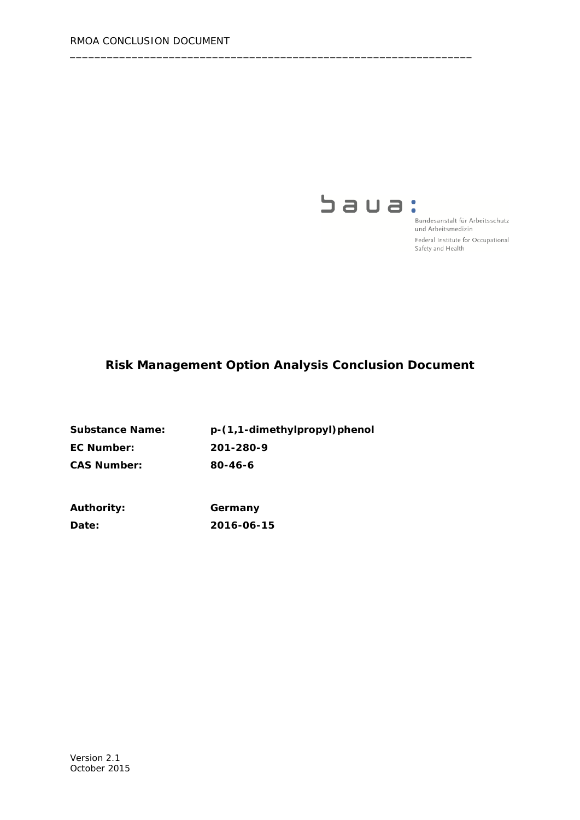

Bundesanstalt für Arbeitsschutz und Arbeitsmedizin Federal Institute for Occupational Safety and Health

# **Risk Management Option Analysis Conclusion Document**

\_\_\_\_\_\_\_\_\_\_\_\_\_\_\_\_\_\_\_\_\_\_\_\_\_\_\_\_\_\_\_\_\_\_\_\_\_\_\_\_\_\_\_\_\_\_\_\_\_\_\_\_\_\_\_\_\_\_\_\_\_\_\_\_\_

| <b>Substance Name:</b> | p-(1,1-dimethylpropyl)phenol |
|------------------------|------------------------------|
| EC Number:             | 201-280-9                    |
| <b>CAS Number:</b>     | 80-46-6                      |

| <b>Authority:</b> | Germany    |
|-------------------|------------|
| <b>Date:</b>      | 2016-06-15 |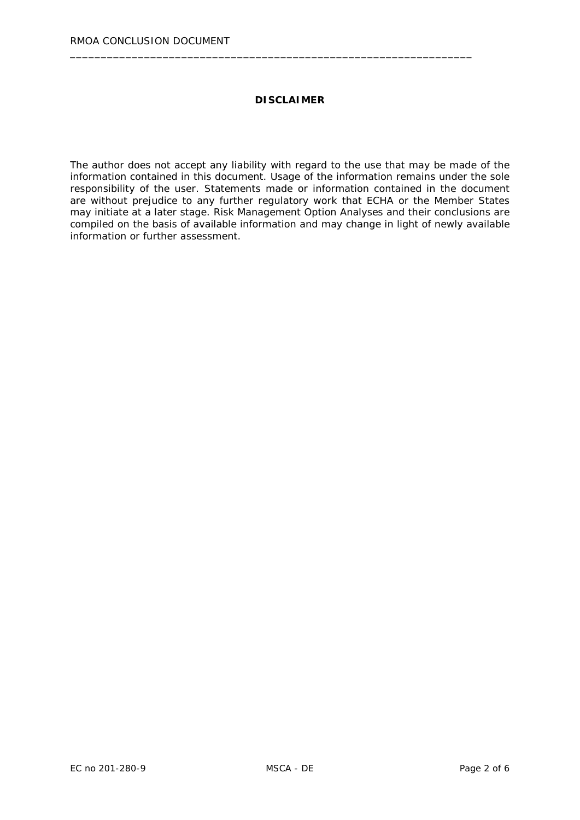#### **DISCLAIMER**

\_\_\_\_\_\_\_\_\_\_\_\_\_\_\_\_\_\_\_\_\_\_\_\_\_\_\_\_\_\_\_\_\_\_\_\_\_\_\_\_\_\_\_\_\_\_\_\_\_\_\_\_\_\_\_\_\_\_\_\_\_\_\_\_\_

The author does not accept any liability with regard to the use that may be made of the information contained in this document. Usage of the information remains under the sole responsibility of the user. Statements made or information contained in the document are without prejudice to any further regulatory work that ECHA or the Member States may initiate at a later stage. Risk Management Option Analyses and their conclusions are compiled on the basis of available information and may change in light of newly available information or further assessment.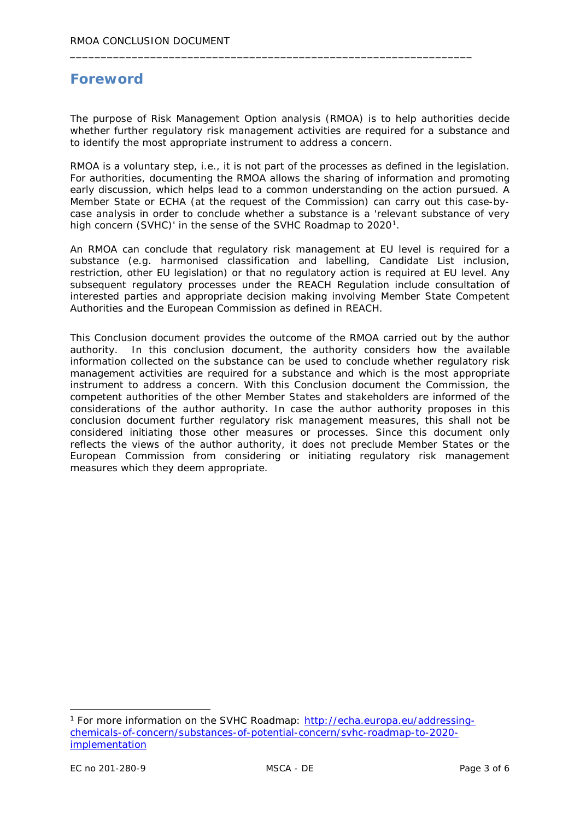# **Foreword**

The purpose of Risk Management Option analysis (RMOA) is to help authorities decide whether further regulatory risk management activities are required for a substance and to identify the most appropriate instrument to address a concern.

\_\_\_\_\_\_\_\_\_\_\_\_\_\_\_\_\_\_\_\_\_\_\_\_\_\_\_\_\_\_\_\_\_\_\_\_\_\_\_\_\_\_\_\_\_\_\_\_\_\_\_\_\_\_\_\_\_\_\_\_\_\_\_\_\_

RMOA is a voluntary step, i.e., it is not part of the processes as defined in the legislation. For authorities, documenting the RMOA allows the sharing of information and promoting early discussion, which helps lead to a common understanding on the action pursued. A Member State or ECHA (at the request of the Commission) can carry out this case-bycase analysis in order to conclude whether a substance is a 'relevant substance of very high concern (SVHC)' in the sense of the SVHC Roadmap to 2020<sup>1</sup>.

An RMOA can conclude that regulatory risk management at EU level is required for a substance (e.g. harmonised classification and labelling, Candidate List inclusion, restriction, other EU legislation) or that no regulatory action is required at EU level. Any subsequent regulatory processes under the REACH Regulation include consultation of interested parties and appropriate decision making involving Member State Competent Authorities and the European Commission as defined in REACH.

This Conclusion document provides the outcome of the RMOA carried out by the author authority. In this conclusion document, the authority considers how the available information collected on the substance can be used to conclude whether regulatory risk management activities are required for a substance and which is the most appropriate instrument to address a concern. With this Conclusion document the Commission, the competent authorities of the other Member States and stakeholders are informed of the considerations of the author authority. In case the author authority proposes in this conclusion document further regulatory risk management measures, this shall not be considered initiating those other measures or processes. Since this document only reflects the views of the author authority, it does not preclude Member States or the European Commission from considering or initiating regulatory risk management measures which they deem appropriate.

<span id="page-2-0"></span> <sup>1</sup> For more information on the SVHC Roadmap: [http://echa.europa.eu/addressing](http://echa.europa.eu/addressing-chemicals-of-concern/substances-of-potential-concern/svhc-roadmap-to-2020-implementation)[chemicals-of-concern/substances-of-potential-concern/svhc-roadmap-to-2020](http://echa.europa.eu/addressing-chemicals-of-concern/substances-of-potential-concern/svhc-roadmap-to-2020-implementation) [implementation](http://echa.europa.eu/addressing-chemicals-of-concern/substances-of-potential-concern/svhc-roadmap-to-2020-implementation)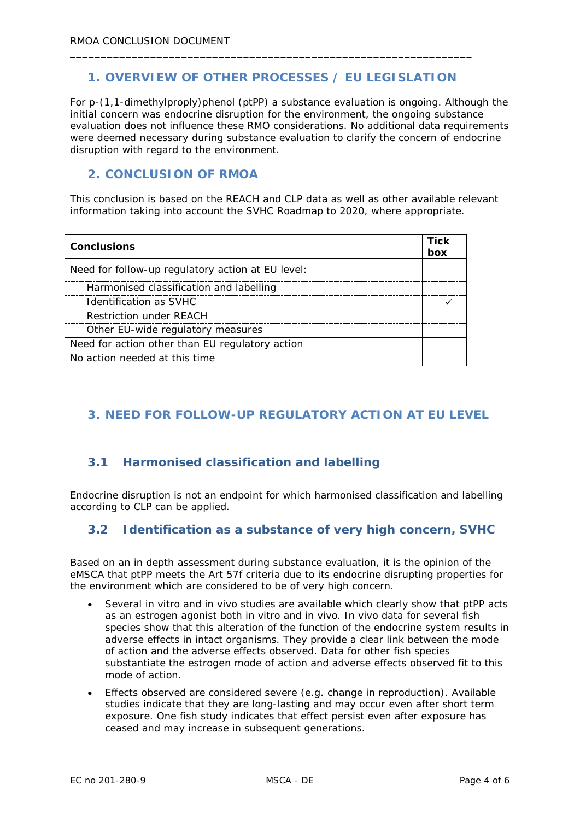### **1. OVERVIEW OF OTHER PROCESSES / EU LEGISLATION**

\_\_\_\_\_\_\_\_\_\_\_\_\_\_\_\_\_\_\_\_\_\_\_\_\_\_\_\_\_\_\_\_\_\_\_\_\_\_\_\_\_\_\_\_\_\_\_\_\_\_\_\_\_\_\_\_\_\_\_\_\_\_\_\_\_

For p-(1,1-dimethylproply)phenol (ptPP) a substance evaluation is ongoing. Although the initial concern was endocrine disruption for the environment, the ongoing substance evaluation does not influence these RMO considerations. No additional data requirements were deemed necessary during substance evaluation to clarify the concern of endocrine disruption with regard to the environment.

### **2. CONCLUSION OF RMOA**

This conclusion is based on the REACH and CLP data as well as other available relevant information taking into account the SVHC Roadmap to 2020, where appropriate.

| <b>Conclusions</b>                                | Tick<br>box |
|---------------------------------------------------|-------------|
| Need for follow-up regulatory action at EU level: |             |
| Harmonised classification and labelling           |             |
| Identification as SVHC                            |             |
| <b>Restriction under REACH</b>                    |             |
| Other EU-wide regulatory measures                 |             |
| Need for action other than EU regulatory action   |             |
| No action needed at this time                     |             |

## **3. NEED FOR FOLLOW-UP REGULATORY ACTION AT EU LEVEL**

### **3.1 Harmonised classification and labelling**

Endocrine disruption is not an endpoint for which harmonised classification and labelling according to CLP can be applied.

### **3.2 Identification as a substance of very high concern, SVHC**

Based on an in depth assessment during substance evaluation, it is the opinion of the eMSCA that ptPP meets the Art 57f criteria due to its endocrine disrupting properties for the environment which are considered to be of very high concern.

- Several in vitro and in vivo studies are available which clearly show that ptPP acts as an estrogen agonist both in vitro and in vivo. In vivo data for several fish species show that this alteration of the function of the endocrine system results in adverse effects in intact organisms. They provide a clear link between the mode of action and the adverse effects observed. Data for other fish species substantiate the estrogen mode of action and adverse effects observed fit to this mode of action.
- Effects observed are considered severe (e.g. change in reproduction). Available studies indicate that they are long-lasting and may occur even after short term exposure. One fish study indicates that effect persist even after exposure has ceased and may increase in subsequent generations.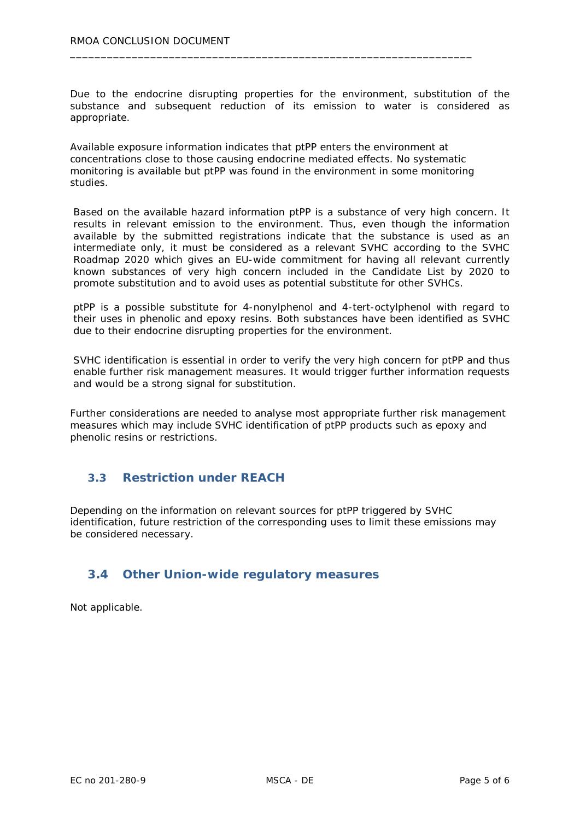Due to the endocrine disrupting properties for the environment, substitution of the substance and subsequent reduction of its emission to water is considered as appropriate.

Available exposure information indicates that ptPP enters the environment at concentrations close to those causing endocrine mediated effects. No systematic monitoring is available but ptPP was found in the environment in some monitoring studies.

\_\_\_\_\_\_\_\_\_\_\_\_\_\_\_\_\_\_\_\_\_\_\_\_\_\_\_\_\_\_\_\_\_\_\_\_\_\_\_\_\_\_\_\_\_\_\_\_\_\_\_\_\_\_\_\_\_\_\_\_\_\_\_\_\_

Based on the available hazard information ptPP is a substance of very high concern. It results in relevant emission to the environment. Thus, even though the information available by the submitted registrations indicate that the substance is used as an intermediate only, it must be considered as a relevant SVHC according to the SVHC Roadmap 2020 which gives an EU-wide commitment for having all relevant currently known substances of very high concern included in the Candidate List by 2020 to promote substitution and to avoid uses as potential substitute for other SVHCs.

ptPP is a possible substitute for 4-nonylphenol and 4-tert-octylphenol with regard to their uses in phenolic and epoxy resins. Both substances have been identified as SVHC due to their endocrine disrupting properties for the environment.

SVHC identification is essential in order to verify the very high concern for ptPP and thus enable further risk management measures. It would trigger further information requests and would be a strong signal for substitution.

Further considerations are needed to analyse most appropriate further risk management measures which may include SVHC identification of ptPP products such as epoxy and phenolic resins or restrictions.

### **3.3 Restriction under REACH**

Depending on the information on relevant sources for ptPP triggered by SVHC identification, future restriction of the corresponding uses to limit these emissions may be considered necessary.

### **3.4 Other Union-wide regulatory measures**

Not applicable.